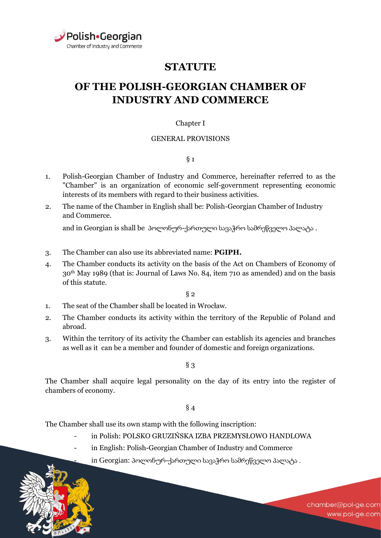

# **STATUTE**

# **OF THE POLISH-GEORGIAN CHAMBER OF INDUSTRY AND COMMERCE**

# Chapter I

## GENERAL PROVISIONS

 $\S_1$ 

- 1. Polish-Georgian Chamber of Industry and Commerce, hereinafter referred to as the "Chamber" is an organization of economic self-government representing economic interests of its members with regard to their business activities.
- 2. The name of the Chamber in English shall be: Polish-Georgian Chamber of Industry and Commerce.

and in Georgian is shall be პოლონურ-ქართული სავაჭრო სამრეწველო პალატა .

- 3. The Chamber can also use its abbreviated name: **PGIPH.**
- 4. The Chamber conducts its activity on the basis of the Act on Chambers of Economy of 30th May 1989 (that is: Journal of Laws No. 84, item 710 as amended) and on the basis of this statute.

 $\delta$  2

- 1. The seat of the Chamber shall be located in Wrocław.
- 2. The Chamber conducts its activity within the territory of the Republic of Poland and abroad.
- 3. Within the territory of its activity the Chamber can establish its agencies and branches as well as it can be a member and founder of domestic and foreign organizations.

§ 3

The Chamber shall acquire legal personality on the day of its entry into the register of chambers of economy.

§ 4

The Chamber shall use its own stamp with the following inscription:

- in Polish: POLSKO GRUZIŃSKA IZBA PRZEMYSŁOWO HANDLOWA
- in English: Polish-Georgian Chamber of Industry and Commerce

in Georgian: პოლონურ-ქართული სავაჭრო სამრეწველო პალატა .

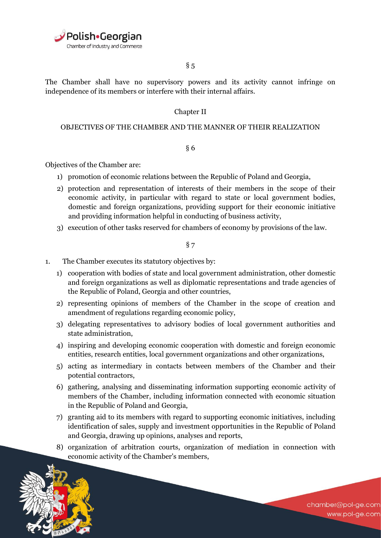

The Chamber shall have no supervisory powers and its activity cannot infringe on independence of its members or interfere with their internal affairs.

# Chapter II

#### OBJECTIVES OF THE CHAMBER AND THE MANNER OF THEIR REALIZATION

## § 6

Objectives of the Chamber are:

- 1) promotion of economic relations between the Republic of Poland and Georgia,
- 2) protection and representation of interests of their members in the scope of their economic activity, in particular with regard to state or local government bodies, domestic and foreign organizations, providing support for their economic initiative and providing information helpful in conducting of business activity,
- 3) execution of other tasks reserved for chambers of economy by provisions of the law.

§ 7

- 1. The Chamber executes its statutory objectives by:
	- 1) cooperation with bodies of state and local government administration, other domestic and foreign organizations as well as diplomatic representations and trade agencies of the Republic of Poland, Georgia and other countries,
	- 2) representing opinions of members of the Chamber in the scope of creation and amendment of regulations regarding economic policy,
	- 3) delegating representatives to advisory bodies of local government authorities and state administration,
	- 4) inspiring and developing economic cooperation with domestic and foreign economic entities, research entities, local government organizations and other organizations,
	- 5) acting as intermediary in contacts between members of the Chamber and their potential contractors,
	- 6) gathering, analysing and disseminating information supporting economic activity of members of the Chamber, including information connected with economic situation in the Republic of Poland and Georgia,
	- 7) granting aid to its members with regard to supporting economic initiatives, including identification of sales, supply and investment opportunities in the Republic of Poland and Georgia, drawing up opinions, analyses and reports,
	- 8) organization of arbitration courts, organization of mediation in connection with economic activity of the Chamber's members,

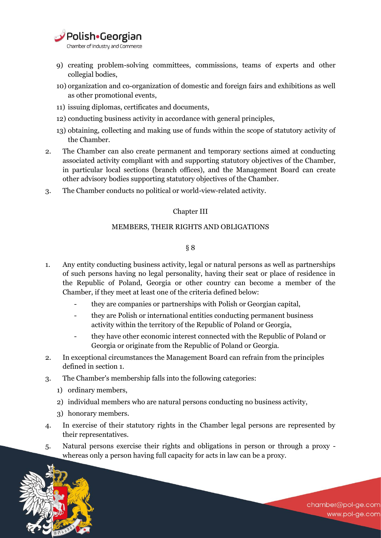

- 9) creating problem-solving committees, commissions, teams of experts and other collegial bodies,
- 10) organization and co-organization of domestic and foreign fairs and exhibitions as well as other promotional events,
- 11) issuing diplomas, certificates and documents,
- 12) conducting business activity in accordance with general principles,
- 13) obtaining, collecting and making use of funds within the scope of statutory activity of the Chamber.
- 2. The Chamber can also create permanent and temporary sections aimed at conducting associated activity compliant with and supporting statutory objectives of the Chamber, in particular local sections (branch offices), and the Management Board can create other advisory bodies supporting statutory objectives of the Chamber.
- 3. The Chamber conducts no political or world-view-related activity.

# Chapter III

## MEMBERS, THEIR RIGHTS AND OBLIGATIONS

## § 8

- 1. Any entity conducting business activity, legal or natural persons as well as partnerships of such persons having no legal personality, having their seat or place of residence in the Republic of Poland, Georgia or other country can become a member of the Chamber, if they meet at least one of the criteria defined below:
	- they are companies or partnerships with Polish or Georgian capital,
	- they are Polish or international entities conducting permanent business activity within the territory of the Republic of Poland or Georgia,
	- they have other economic interest connected with the Republic of Poland or Georgia or originate from the Republic of Poland or Georgia.
- 2. In exceptional circumstances the Management Board can refrain from the principles defined in section 1.
- 3. The Chamber's membership falls into the following categories:
	- 1) ordinary members,
	- 2) individual members who are natural persons conducting no business activity,
	- 3) honorary members.
- 4. In exercise of their statutory rights in the Chamber legal persons are represented by their representatives.
- 5. Natural persons exercise their rights and obligations in person or through a proxy whereas only a person having full capacity for acts in law can be a proxy.

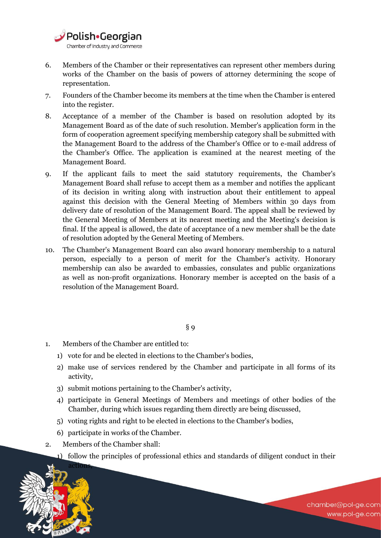

- 6. Members of the Chamber or their representatives can represent other members during works of the Chamber on the basis of powers of attorney determining the scope of representation.
- 7. Founders of the Chamber become its members at the time when the Chamber is entered into the register.
- 8. Acceptance of a member of the Chamber is based on resolution adopted by its Management Board as of the date of such resolution. Member's application form in the form of cooperation agreement specifying membership category shall be submitted with the Management Board to the address of the Chamber's Office or to e-mail address of the Chamber's Office. The application is examined at the nearest meeting of the Management Board.
- 9. If the applicant fails to meet the said statutory requirements, the Chamber's Management Board shall refuse to accept them as a member and notifies the applicant of its decision in writing along with instruction about their entitlement to appeal against this decision with the General Meeting of Members within 30 days from delivery date of resolution of the Management Board. The appeal shall be reviewed by the General Meeting of Members at its nearest meeting and the Meeting's decision is final. If the appeal is allowed, the date of acceptance of a new member shall be the date of resolution adopted by the General Meeting of Members.
- 10. The Chamber's Management Board can also award honorary membership to a natural person, especially to a person of merit for the Chamber's activity. Honorary membership can also be awarded to embassies, consulates and public organizations as well as non-profit organizations. Honorary member is accepted on the basis of a resolution of the Management Board.

- 1. Members of the Chamber are entitled to:
	- 1) vote for and be elected in elections to the Chamber's bodies,
	- 2) make use of services rendered by the Chamber and participate in all forms of its activity,
	- 3) submit motions pertaining to the Chamber's activity,
	- 4) participate in General Meetings of Members and meetings of other bodies of the Chamber, during which issues regarding them directly are being discussed,
	- 5) voting rights and right to be elected in elections to the Chamber's bodies,
	- 6) participate in works of the Chamber.
- 2. Members of the Chamber shall:
	- 1) follow the principles of professional ethics and standards of diligent conduct in their

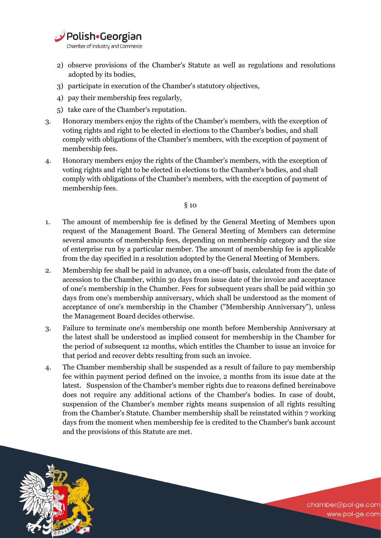

- 2) observe provisions of the Chamber's Statute as well as regulations and resolutions adopted by its bodies,
- 3) participate in execution of the Chamber's statutory objectives,
- 4) pay their membership fees regularly,
- 5) take care of the Chamber's reputation.
- 3. Honorary members enjoy the rights of the Chamber's members, with the exception of voting rights and right to be elected in elections to the Chamber's bodies, and shall comply with obligations of the Chamber's members, with the exception of payment of membership fees.
- 4. Honorary members enjoy the rights of the Chamber's members, with the exception of voting rights and right to be elected in elections to the Chamber's bodies, and shall comply with obligations of the Chamber's members, with the exception of payment of membership fees.

- 1. The amount of membership fee is defined by the General Meeting of Members upon request of the Management Board. The General Meeting of Members can determine several amounts of membership fees, depending on membership category and the size of enterprise run by a particular member. The amount of membership fee is applicable from the day specified in a resolution adopted by the General Meeting of Members.
- 2. Membership fee shall be paid in advance, on a one-off basis, calculated from the date of accession to the Chamber, within 30 days from issue date of the invoice and acceptance of one's membership in the Chamber. Fees for subsequent years shall be paid within 30 days from one's membership anniversary, which shall be understood as the moment of acceptance of one's membership in the Chamber ("Membership Anniversary"), unless the Management Board decides otherwise.
- 3. Failure to terminate one's membership one month before Membership Anniversary at the latest shall be understood as implied consent for membership in the Chamber for the period of subsequent 12 months, which entitles the Chamber to issue an invoice for that period and recover debts resulting from such an invoice.
- 4. The Chamber membership shall be suspended as a result of failure to pay membership fee within payment period defined on the invoice, 2 months from its issue date at the latest. Suspension of the Chamber's member rights due to reasons defined hereinabove does not require any additional actions of the Chamber's bodies. In case of doubt, suspension of the Chamber's member rights means suspension of all rights resulting from the Chamber's Statute. Chamber membership shall be reinstated within 7 working days from the moment when membership fee is credited to the Chamber's bank account and the provisions of this Statute are met.

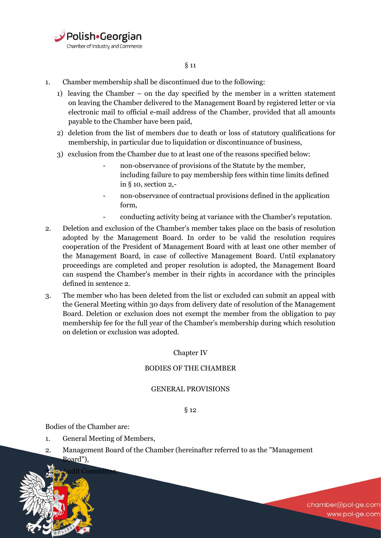

- 1. Chamber membership shall be discontinued due to the following:
	- 1) leaving the Chamber on the day specified by the member in a written statement on leaving the Chamber delivered to the Management Board by registered letter or via electronic mail to official e-mail address of the Chamber, provided that all amounts payable to the Chamber have been paid,
	- 2) deletion from the list of members due to death or loss of statutory qualifications for membership, in particular due to liquidation or discontinuance of business,
	- 3) exclusion from the Chamber due to at least one of the reasons specified below:
		- non-observance of provisions of the Statute by the member, including failure to pay membership fees within time limits defined in § 10, section 2,-
		- non-observance of contractual provisions defined in the application form,
		- conducting activity being at variance with the Chamber's reputation.
- 2. Deletion and exclusion of the Chamber's member takes place on the basis of resolution adopted by the Management Board. In order to be valid the resolution requires cooperation of the President of Management Board with at least one other member of the Management Board, in case of collective Management Board. Until explanatory proceedings are completed and proper resolution is adopted, the Management Board can suspend the Chamber's member in their rights in accordance with the principles defined in sentence 2.
- 3. The member who has been deleted from the list or excluded can submit an appeal with the General Meeting within 30 days from delivery date of resolution of the Management Board. Deletion or exclusion does not exempt the member from the obligation to pay membership fee for the full year of the Chamber's membership during which resolution on deletion or exclusion was adopted.

# Chapter IV

# BODIES OF THE CHAMBER

## GENERAL PROVISIONS

§ 12

Bodies of the Chamber are:

- 1. General Meeting of Members,
- 2. Management Board of the Chamber (hereinafter referred to as the "Management Board"),

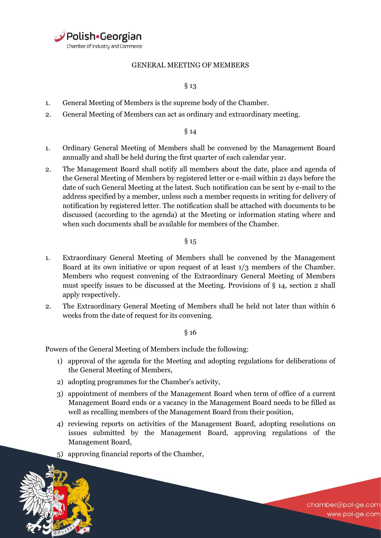

#### GENERAL MEETING OF MEMBERS

# § 13

- 1. General Meeting of Members is the supreme body of the Chamber.
- 2. General Meeting of Members can act as ordinary and extraordinary meeting.

#### $§14$

- 1. Ordinary General Meeting of Members shall be convened by the Management Board annually and shall be held during the first quarter of each calendar year.
- 2. The Management Board shall notify all members about the date, place and agenda of the General Meeting of Members by registered letter or e-mail within 21 days before the date of such General Meeting at the latest. Such notification can be sent by e-mail to the address specified by a member, unless such a member requests in writing for delivery of notification by registered letter. The notification shall be attached with documents to be discussed (according to the agenda) at the Meeting or information stating where and when such documents shall be available for members of the Chamber.

# $§$  15

- 1. Extraordinary General Meeting of Members shall be convened by the Management Board at its own initiative or upon request of at least 1/3 members of the Chamber. Members who request convening of the Extraordinary General Meeting of Members must specify issues to be discussed at the Meeting. Provisions of § 14, section 2 shall apply respectively.
- 2. The Extraordinary General Meeting of Members shall be held not later than within 6 weeks from the date of request for its convening.

## § 16

Powers of the General Meeting of Members include the following:

- 1) approval of the agenda for the Meeting and adopting regulations for deliberations of the General Meeting of Members,
- 2) adopting programmes for the Chamber's activity,
- 3) appointment of members of the Management Board when term of office of a current Management Board ends or a vacancy in the Management Board needs to be filled as well as recalling members of the Management Board from their position,
- 4) reviewing reports on activities of the Management Board, adopting resolutions on issues submitted by the Management Board, approving regulations of the Management Board,

chamber@pol-ge.com

www.pol-ge.com

approving financial reports of the Chamber,

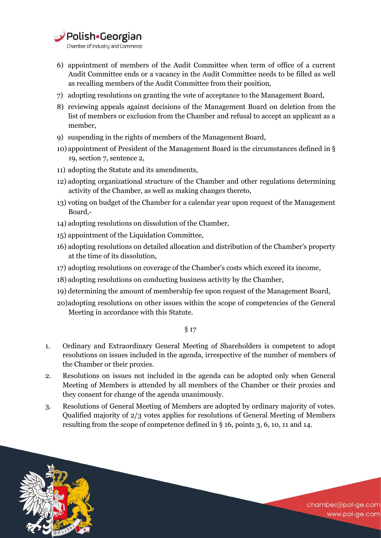

- 6) appointment of members of the Audit Committee when term of office of a current Audit Committee ends or a vacancy in the Audit Committee needs to be filled as well as recalling members of the Audit Committee from their position,
- 7) adopting resolutions on granting the vote of acceptance to the Management Board,
- 8) reviewing appeals against decisions of the Management Board on deletion from the list of members or exclusion from the Chamber and refusal to accept an applicant as a member,
- 9) suspending in the rights of members of the Management Board,
- 10) appointment of President of the Management Board in the circumstances defined in § 19, section 7, sentence 2,
- 11) adopting the Statute and its amendments,
- 12) adopting organizational structure of the Chamber and other regulations determining activity of the Chamber, as well as making changes thereto,
- 13) voting on budget of the Chamber for a calendar year upon request of the Management Board,-
- 14) adopting resolutions on dissolution of the Chamber,
- 15) appointment of the Liquidation Committee,
- 16) adopting resolutions on detailed allocation and distribution of the Chamber's property at the time of its dissolution,
- 17) adopting resolutions on coverage of the Chamber's costs which exceed its income,
- 18) adopting resolutions on conducting business activity by the Chamber,
- 19) determining the amount of membership fee upon request of the Management Board,
- 20)adopting resolutions on other issues within the scope of competencies of the General Meeting in accordance with this Statute.

- 1. Ordinary and Extraordinary General Meeting of Shareholders is competent to adopt resolutions on issues included in the agenda, irrespective of the number of members of the Chamber or their proxies.
- 2. Resolutions on issues not included in the agenda can be adopted only when General Meeting of Members is attended by all members of the Chamber or their proxies and they consent for change of the agenda unanimously.
- 3. Resolutions of General Meeting of Members are adopted by ordinary majority of votes. Qualified majority of 2/3 votes applies for resolutions of General Meeting of Members resulting from the scope of competence defined in § 16, points 3, 6, 10, 11 and 14.

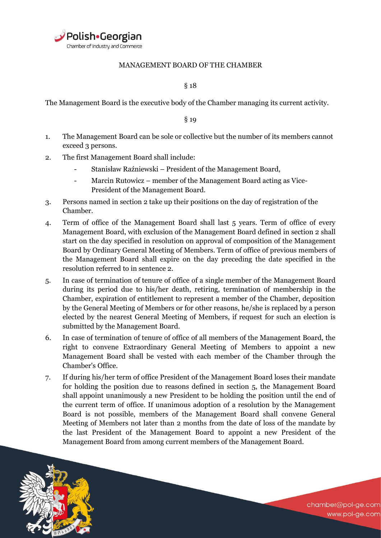

## MANAGEMENT BOARD OF THE CHAMBER

# § 18

The Management Board is the executive body of the Chamber managing its current activity.

 $§$  19

- 1. The Management Board can be sole or collective but the number of its members cannot exceed 3 persons.
- 2. The first Management Board shall include:
	- Stanisław Raźniewski President of the Management Board,
	- Marcin Rutowicz member of the Management Board acting as Vice-President of the Management Board.
- 3. Persons named in section 2 take up their positions on the day of registration of the Chamber.
- 4. Term of office of the Management Board shall last 5 years. Term of office of every Management Board, with exclusion of the Management Board defined in section 2 shall start on the day specified in resolution on approval of composition of the Management Board by Ordinary General Meeting of Members. Term of office of previous members of the Management Board shall expire on the day preceding the date specified in the resolution referred to in sentence 2.
- 5. In case of termination of tenure of office of a single member of the Management Board during its period due to his/her death, retiring, termination of membership in the Chamber, expiration of entitlement to represent a member of the Chamber, deposition by the General Meeting of Members or for other reasons, he/she is replaced by a person elected by the nearest General Meeting of Members, if request for such an election is submitted by the Management Board.
- 6. In case of termination of tenure of office of all members of the Management Board, the right to convene Extraordinary General Meeting of Members to appoint a new Management Board shall be vested with each member of the Chamber through the Chamber's Office.
- 7. If during his/her term of office President of the Management Board loses their mandate for holding the position due to reasons defined in section 5, the Management Board shall appoint unanimously a new President to be holding the position until the end of the current term of office. If unanimous adoption of a resolution by the Management Board is not possible, members of the Management Board shall convene General Meeting of Members not later than 2 months from the date of loss of the mandate by the last President of the Management Board to appoint a new President of the Management Board from among current members of the Management Board.

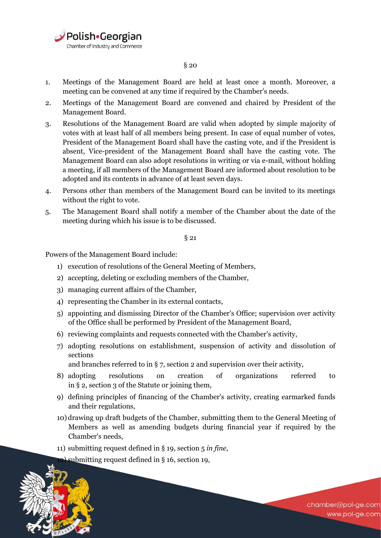

- 1. Meetings of the Management Board are held at least once a month. Moreover, a meeting can be convened at any time if required by the Chamber's needs.
- 2. Meetings of the Management Board are convened and chaired by President of the Management Board.
- 3. Resolutions of the Management Board are valid when adopted by simple majority of votes with at least half of all members being present. In case of equal number of votes, President of the Management Board shall have the casting vote, and if the President is absent, Vice-president of the Management Board shall have the casting vote. The Management Board can also adopt resolutions in writing or via e-mail, without holding a meeting, if all members of the Management Board are informed about resolution to be adopted and its contents in advance of at least seven days.
- 4. Persons other than members of the Management Board can be invited to its meetings without the right to vote.
- 5. The Management Board shall notify a member of the Chamber about the date of the meeting during which his issue is to be discussed.

§ 21

Powers of the Management Board include:

- 1) execution of resolutions of the General Meeting of Members,
- 2) accepting, deleting or excluding members of the Chamber,
- 3) managing current affairs of the Chamber,
- 4) representing the Chamber in its external contacts,
- 5) appointing and dismissing Director of the Chamber's Office; supervision over activity of the Office shall be performed by President of the Management Board,
- 6) reviewing complaints and requests connected with the Chamber's activity,
- 7) adopting resolutions on establishment, suspension of activity and dissolution of sections

and branches referred to in § 7, section 2 and supervision over their activity,

- 8) adopting resolutions on creation of organizations referred to in § 2, section 3 of the Statute or joining them,
- 9) defining principles of financing of the Chamber's activity, creating earmarked funds and their regulations,
- 10) drawing up draft budgets of the Chamber, submitting them to the General Meeting of Members as well as amending budgets during financial year if required by the Chamber's needs,

chamber@pol-ge.com

www.pol-ge.com

- 11) submitting request defined in § 19, section 5 *in fine*,
	- submitting request defined in § 16, section 19,

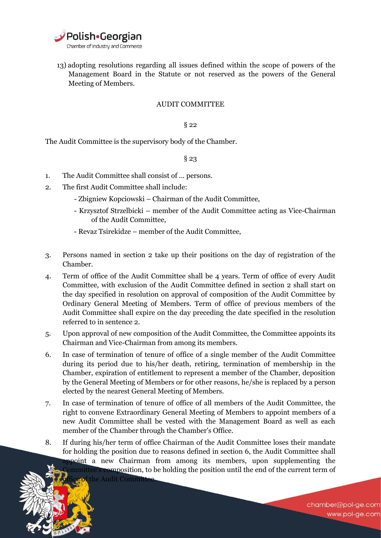

13) adopting resolutions regarding all issues defined within the scope of powers of the Management Board in the Statute or not reserved as the powers of the General Meeting of Members.

# AUDIT COMMITTEE

### $§ 22$

The Audit Committee is the supervisory body of the Chamber.

# $§$  23

- 1. The Audit Committee shall consist of ... persons.
- 2. The first Audit Committee shall include:

the Audit Committe

- Zbigniew Kopciowski Chairman of the Audit Committee,
- Krzysztof Strzelbicki member of the Audit Committee acting as Vice-Chairman of the Audit Committee,
- Revaz Tsirekidze member of the Audit Committee,
- 3. Persons named in section 2 take up their positions on the day of registration of the Chamber.
- 4. Term of office of the Audit Committee shall be 4 years. Term of office of every Audit Committee, with exclusion of the Audit Committee defined in section 2 shall start on the day specified in resolution on approval of composition of the Audit Committee by Ordinary General Meeting of Members. Term of office of previous members of the Audit Committee shall expire on the day preceding the date specified in the resolution referred to in sentence 2.
- 5. Upon approval of new composition of the Audit Committee, the Committee appoints its Chairman and Vice-Chairman from among its members.
- 6. In case of termination of tenure of office of a single member of the Audit Committee during its period due to his/her death, retiring, termination of membership in the Chamber, expiration of entitlement to represent a member of the Chamber, deposition by the General Meeting of Members or for other reasons, he/she is replaced by a person elected by the nearest General Meeting of Members.
- 7. In case of termination of tenure of office of all members of the Audit Committee, the right to convene Extraordinary General Meeting of Members to appoint members of a new Audit Committee shall be vested with the Management Board as well as each member of the Chamber through the Chamber's Office.
- 8. If during his/her term of office Chairman of the Audit Committee loses their mandate for holding the position due to reasons defined in section 6, the Audit Committee shall ppoint a new Chairman from among its members, upon supplementing the nittee's composition, to be holding the position until the end of the current term of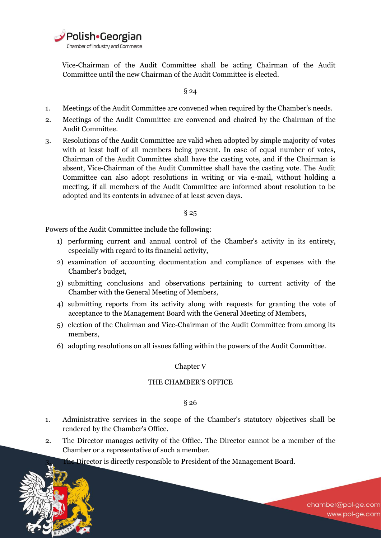

 Vice-Chairman of the Audit Committee shall be acting Chairman of the Audit Committee until the new Chairman of the Audit Committee is elected.

#### $§24$

- 1. Meetings of the Audit Committee are convened when required by the Chamber's needs.
- 2. Meetings of the Audit Committee are convened and chaired by the Chairman of the Audit Committee.
- 3. Resolutions of the Audit Committee are valid when adopted by simple majority of votes with at least half of all members being present. In case of equal number of votes, Chairman of the Audit Committee shall have the casting vote, and if the Chairman is absent, Vice-Chairman of the Audit Committee shall have the casting vote. The Audit Committee can also adopt resolutions in writing or via e-mail, without holding a meeting, if all members of the Audit Committee are informed about resolution to be adopted and its contents in advance of at least seven days.

#### $§25$

Powers of the Audit Committee include the following:

- 1) performing current and annual control of the Chamber's activity in its entirety, especially with regard to its financial activity,
- 2) examination of accounting documentation and compliance of expenses with the Chamber's budget,
- 3) submitting conclusions and observations pertaining to current activity of the Chamber with the General Meeting of Members,
- 4) submitting reports from its activity along with requests for granting the vote of acceptance to the Management Board with the General Meeting of Members,
- 5) election of the Chairman and Vice-Chairman of the Audit Committee from among its members,
- 6) adopting resolutions on all issues falling within the powers of the Audit Committee.

## Chapter V

#### THE CHAMBER'S OFFICE

#### § 26

- 1. Administrative services in the scope of the Chamber's statutory objectives shall be rendered by the Chamber's Office.
- 2. The Director manages activity of the Office. The Director cannot be a member of the Chamber or a representative of such a member.

Director is directly responsible to President of the Management Board.

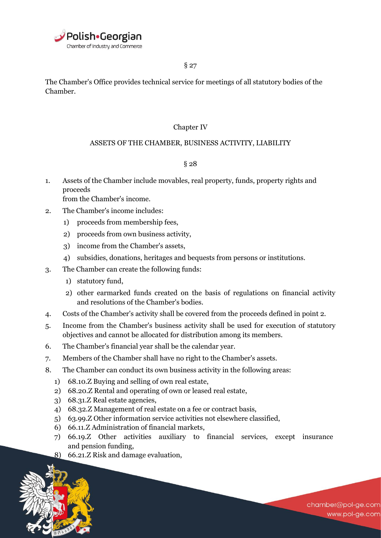

The Chamber's Office provides technical service for meetings of all statutory bodies of the Chamber.

# Chapter IV

# ASSETS OF THE CHAMBER, BUSINESS ACTIVITY, LIABILITY

## § 28

- 1. Assets of the Chamber include movables, real property, funds, property rights and proceeds from the Chamber's income.
- 2. The Chamber's income includes:
	- 1) proceeds from membership fees,
	- 2) proceeds from own business activity,
	- 3) income from the Chamber's assets,
	- 4) subsidies, donations, heritages and bequests from persons or institutions.
- 3. The Chamber can create the following funds:
	- 1) statutory fund,
	- 2) other earmarked funds created on the basis of regulations on financial activity and resolutions of the Chamber's bodies.
- 4. Costs of the Chamber's activity shall be covered from the proceeds defined in point 2.
- 5. Income from the Chamber's business activity shall be used for execution of statutory objectives and cannot be allocated for distribution among its members.
- 6. The Chamber's financial year shall be the calendar year.
- 7. Members of the Chamber shall have no right to the Chamber's assets.
- 8. The Chamber can conduct its own business activity in the following areas:
	- 1) 68.10.Z Buying and selling of own real estate,
	- 2) 68.20.Z Rental and operating of own or leased real estate,
	- 3) 68.31.Z Real estate agencies,
	- 4) 68.32.Z Management of real estate on a fee or contract basis,
	- 5) 63.99.Z Other information service activities not elsewhere classified,
	- 6) 66.11.Z Administration of financial markets,
	- 7) 66.19.Z Other activities auxiliary to financial services, except insurance and pension funding,
	- 8) 66.21.Z Risk and damage evaluation,

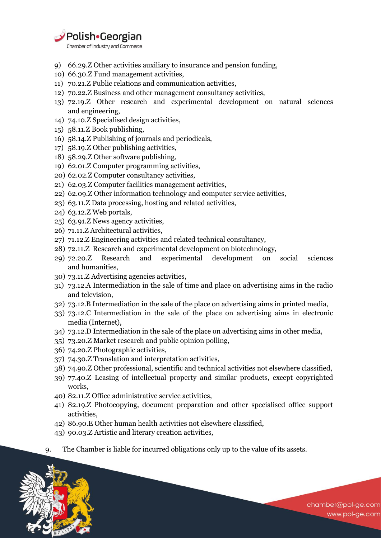

9) 66.29.Z Other activities auxiliary to insurance and pension funding,

- 10) 66.30.Z Fund management activities,
- 11) 70.21.Z Public relations and communication activities,
- 12) 70.22.Z Business and other management consultancy activities,
- 13) 72.19.Z Other research and experimental development on natural sciences and engineering,
- 14) 74.10.Z Specialised design activities,
- 15) 58.11.Z Book publishing,
- 16) 58.14.Z Publishing of journals and periodicals,
- 17) 58.19.Z Other publishing activities,
- 18) 58.29.Z Other software publishing,
- 19) 62.01.Z Computer programming activities,
- 20) 62.02.Z Computer consultancy activities,
- 21) 62.03.Z Computer facilities management activities,
- 22) 62.09.Z Other information technology and computer service activities,
- 23) 63.11.Z Data processing, hosting and related activities,
- 24) 63.12.Z Web portals,
- 25) 63.91.Z News agency activities,
- 26) 71.11.Z Architectural activities,
- 27) 71.12.Z Engineering activities and related technical consultancy,
- 28) 72.11.Z Research and experimental development on biotechnology,
- 29) 72.20.Z Research and experimental development on social sciences and humanities,
- 30) 73.11.Z Advertising agencies activities,
- 31) 73.12.A Intermediation in the sale of time and place on advertising aims in the radio and television,
- 32) 73.12.B Intermediation in the sale of the place on advertising aims in printed media,
- 33) 73.12.C Intermediation in the sale of the place on advertising aims in electronic media (Internet),
- 34) 73.12.D Intermediation in the sale of the place on advertising aims in other media,
- 35) 73.20.Z Market research and public opinion polling,
- 36) 74.20.Z Photographic activities,
- 37) 74.30.Z Translation and interpretation activities,
- 38) 74.90.Z Other professional, scientific and technical activities not elsewhere classified,
- 39) 77.40.Z Leasing of intellectual property and similar products, except copyrighted works,
- 40) 82.11.Z Office administrative service activities,
- 41) 82.19.Z Photocopying, document preparation and other specialised office support activities,

chamber@pol-ge.com

www.pol-ge.com

- 42) 86.90.E Other human health activities not elsewhere classified,
- 43) 90.03.Z Artistic and literary creation activities,
- 9. The Chamber is liable for incurred obligations only up to the value of its assets.